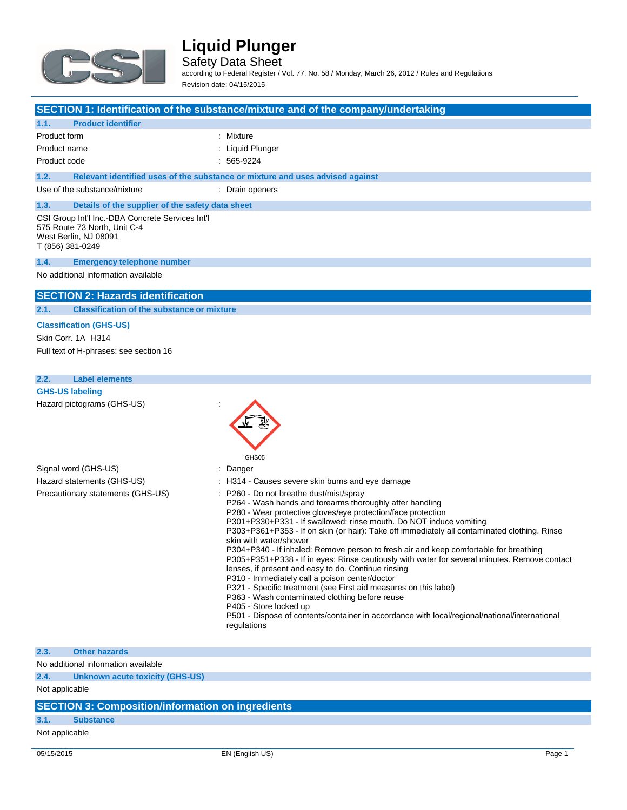

Safety Data Sheet

according to Federal Register / Vol. 77, No. 58 / Monday, March 26, 2012 / Rules and Regulations Revision date: 04/15/2015

| SECTION 1: Identification of the substance/mixture and of the company/undertaking |  |  |
|-----------------------------------------------------------------------------------|--|--|
|-----------------------------------------------------------------------------------|--|--|

## **1.1. Product identifier** Product form : Nixture Product name : Liquid Plunger Product code : 565-9224 **1.2. Relevant identified uses of the substance or mixture and uses advised against** Use of the substance/mixture : Drain openers **1.3. Details of the supplier of the safety data sheet** CSI Group Int'l Inc.-DBA Concrete Services Int'l 575 Route 73 North, Unit C-4 West Berlin, NJ 08091 T (856) 381-0249 **1.4. Emergency telephone number** No additional information available

### **SECTION 2: Hazards identification**

**2.1. Classification of the substance or mixture**

#### **Classification (GHS-US)**

Skin Corr. 1A H314 Full text of H-phrases: see section 16

## **2.2. Label elements GHS-US labeling** Hazard pictograms (GHS-US) : GHS05 Signal word (GHS-US) in the state of the Signal word (GHS-US) in the state of the Signal state of the Signal S Hazard statements (GHS-US) : H314 - Causes severe skin burns and eye damage Precautionary statements (GHS-US) : P260 - Do not breathe dust/mist/spray P264 - Wash hands and forearms thoroughly after handling P280 - Wear protective gloves/eye protection/face protection P301+P330+P331 - If swallowed: rinse mouth. Do NOT induce vomiting

P303+P361+P353 - If on skin (or hair): Take off immediately all contaminated clothing. Rinse skin with water/shower

P304+P340 - If inhaled: Remove person to fresh air and keep comfortable for breathing P305+P351+P338 - If in eyes: Rinse cautiously with water for several minutes. Remove contact

lenses, if present and easy to do. Continue rinsing P310 - Immediately call a poison center/doctor

P321 - Specific treatment (see First aid measures on this label)

- P363 Wash contaminated clothing before reuse
- P405 Store locked up

P501 - Dispose of contents/container in accordance with local/regional/national/international regulations

### **2.3. Other hazards**

No additional information available

**2.4. Unknown acute toxicity (GHS-US)**

Not applicable

## **SECTION 3: Composition/information on ingredients**

### **3.1. Substance**

Not applicable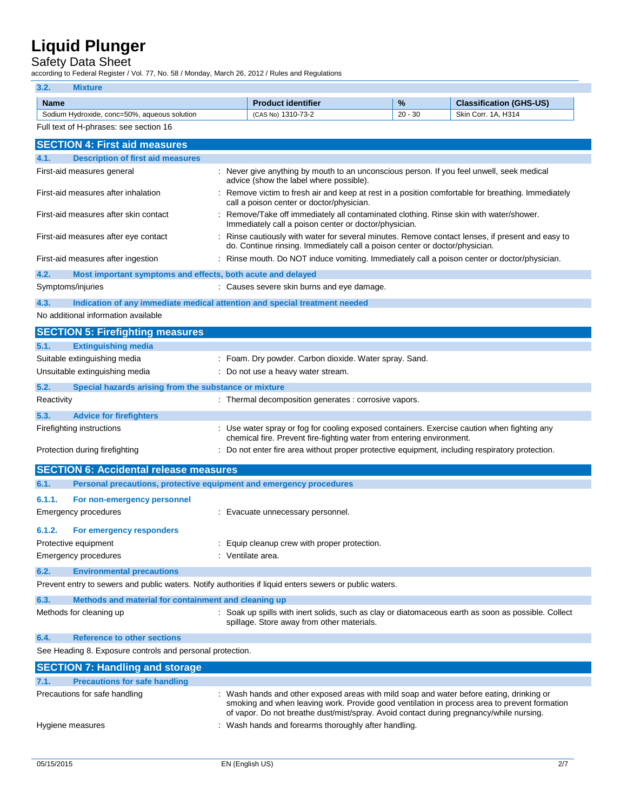## Safety Data Sheet

according to Federal Register / Vol. 77, No. 58 / Monday, March 26, 2012 / Rules and Regulations

|             | according to Federal Register / Vol. 77, No. 58 / Monday, March 26, 2012 / Rules and Regulations        |                                                                                                                                                                                 |           |                                |
|-------------|---------------------------------------------------------------------------------------------------------|---------------------------------------------------------------------------------------------------------------------------------------------------------------------------------|-----------|--------------------------------|
| 3.2.        | <b>Mixture</b>                                                                                          |                                                                                                                                                                                 |           |                                |
| <b>Name</b> |                                                                                                         | <b>Product identifier</b>                                                                                                                                                       | %         | <b>Classification (GHS-US)</b> |
|             | Sodium Hydroxide, conc=50%, aqueous solution                                                            | (CAS No) 1310-73-2                                                                                                                                                              | $20 - 30$ | Skin Corr. 1A, H314            |
|             | Full text of H-phrases: see section 16                                                                  |                                                                                                                                                                                 |           |                                |
|             | <b>SECTION 4: First aid measures</b>                                                                    |                                                                                                                                                                                 |           |                                |
| 4.1.        | <b>Description of first aid measures</b>                                                                |                                                                                                                                                                                 |           |                                |
|             | First-aid measures general                                                                              | : Never give anything by mouth to an unconscious person. If you feel unwell, seek medical<br>advice (show the label where possible).                                            |           |                                |
|             | First-aid measures after inhalation                                                                     | : Remove victim to fresh air and keep at rest in a position comfortable for breathing. Immediately<br>call a poison center or doctor/physician.                                 |           |                                |
|             | First-aid measures after skin contact                                                                   | Remove/Take off immediately all contaminated clothing. Rinse skin with water/shower.<br>Immediately call a poison center or doctor/physician.                                   |           |                                |
|             | First-aid measures after eye contact                                                                    | : Rinse cautiously with water for several minutes. Remove contact lenses, if present and easy to<br>do. Continue rinsing. Immediately call a poison center or doctor/physician. |           |                                |
|             | First-aid measures after ingestion                                                                      | : Rinse mouth. Do NOT induce vomiting. Immediately call a poison center or doctor/physician.                                                                                    |           |                                |
| 4.2.        | Most important symptoms and effects, both acute and delayed                                             |                                                                                                                                                                                 |           |                                |
|             | Symptoms/injuries                                                                                       | : Causes severe skin burns and eye damage.                                                                                                                                      |           |                                |
| 4.3.        | Indication of any immediate medical attention and special treatment needed                              |                                                                                                                                                                                 |           |                                |
|             | No additional information available                                                                     |                                                                                                                                                                                 |           |                                |
|             |                                                                                                         |                                                                                                                                                                                 |           |                                |
|             | <b>SECTION 5: Firefighting measures</b>                                                                 |                                                                                                                                                                                 |           |                                |
| 5.1.        | <b>Extinguishing media</b>                                                                              |                                                                                                                                                                                 |           |                                |
|             | Suitable extinguishing media                                                                            | : Foam. Dry powder. Carbon dioxide. Water spray. Sand.                                                                                                                          |           |                                |
|             | Unsuitable extinguishing media                                                                          | : Do not use a heavy water stream.                                                                                                                                              |           |                                |
| 5.2.        | Special hazards arising from the substance or mixture                                                   |                                                                                                                                                                                 |           |                                |
| Reactivity  |                                                                                                         | : Thermal decomposition generates : corrosive vapors.                                                                                                                           |           |                                |
| 5.3.        | <b>Advice for firefighters</b>                                                                          |                                                                                                                                                                                 |           |                                |
|             | Firefighting instructions                                                                               | : Use water spray or fog for cooling exposed containers. Exercise caution when fighting any                                                                                     |           |                                |
|             |                                                                                                         | chemical fire. Prevent fire-fighting water from entering environment.                                                                                                           |           |                                |
|             | Protection during firefighting                                                                          | : Do not enter fire area without proper protective equipment, including respiratory protection.                                                                                 |           |                                |
|             | <b>SECTION 6: Accidental release measures</b>                                                           |                                                                                                                                                                                 |           |                                |
| 6.1.        | Personal precautions, protective equipment and emergency procedures                                     |                                                                                                                                                                                 |           |                                |
| 6.1.1.      | For non-emergency personnel                                                                             |                                                                                                                                                                                 |           |                                |
|             | <b>Emergency procedures</b>                                                                             | : Evacuate unnecessary personnel.                                                                                                                                               |           |                                |
|             |                                                                                                         |                                                                                                                                                                                 |           |                                |
| 6.1.2.      | <b>For emergency responders</b>                                                                         |                                                                                                                                                                                 |           |                                |
|             | Protective equipment                                                                                    | : Equip cleanup crew with proper protection.                                                                                                                                    |           |                                |
|             | <b>Emergency procedures</b>                                                                             | : Ventilate area.                                                                                                                                                               |           |                                |
| 6.2.        | <b>Environmental precautions</b>                                                                        |                                                                                                                                                                                 |           |                                |
|             | Prevent entry to sewers and public waters. Notify authorities if liquid enters sewers or public waters. |                                                                                                                                                                                 |           |                                |
| 6.3.        | Methods and material for containment and cleaning up                                                    |                                                                                                                                                                                 |           |                                |
|             | Methods for cleaning up                                                                                 | : Soak up spills with inert solids, such as clay or diatomaceous earth as soon as possible. Collect<br>spillage. Store away from other materials.                               |           |                                |
| 6.4.        | <b>Reference to other sections</b>                                                                      |                                                                                                                                                                                 |           |                                |
|             | See Heading 8. Exposure controls and personal protection.                                               |                                                                                                                                                                                 |           |                                |
|             | <b>SECTION 7: Handling and storage</b>                                                                  |                                                                                                                                                                                 |           |                                |
| 7.1.        | <b>Precautions for safe handling</b>                                                                    |                                                                                                                                                                                 |           |                                |
|             | Precautions for safe handling                                                                           | : Wash hands and other exposed areas with mild soap and water before eating, drinking or                                                                                        |           |                                |
|             |                                                                                                         |                                                                                                                                                                                 |           |                                |

smoking and when leaving work. Provide good ventilation in process area to prevent formation of vapor. Do not breathe dust/mist/spray. Avoid contact during pregnancy/while nursing.

Hygiene measures **interpretent and the CO** in Wash hands and forearms thoroughly after handling.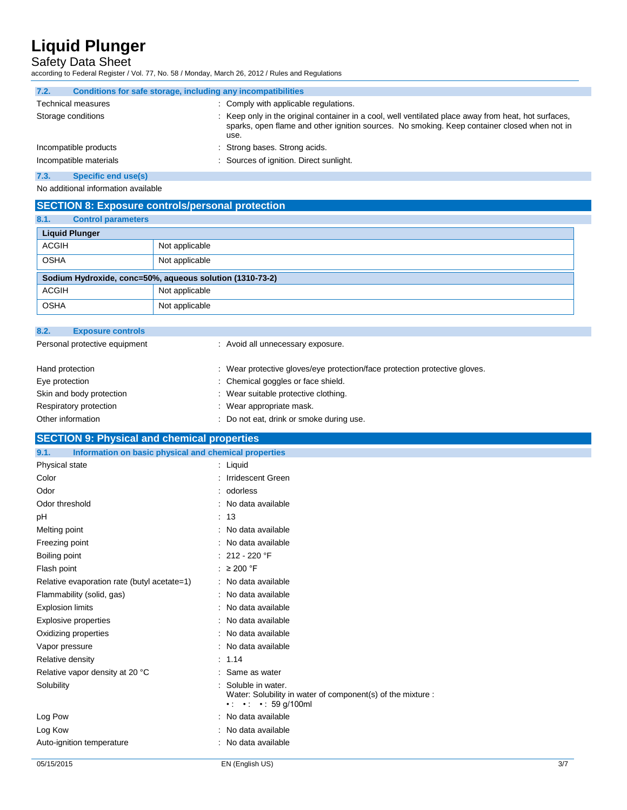## Safety Data Sheet

according to Federal Register / Vol. 77, No. 58 / Monday, March 26, 2012 / Rules and Regulations

| 7.2.               | Conditions for safe storage, including any incompatibilities |                                                                                                                                                                                                              |
|--------------------|--------------------------------------------------------------|--------------------------------------------------------------------------------------------------------------------------------------------------------------------------------------------------------------|
|                    | <b>Technical measures</b>                                    | : Comply with applicable regulations.                                                                                                                                                                        |
| Storage conditions |                                                              | : Keep only in the original container in a cool, well ventilated place away from heat, hot surfaces,<br>sparks, open flame and other ignition sources. No smoking. Keep container closed when not in<br>use. |
|                    | Incompatible products                                        | : Strong bases. Strong acids.                                                                                                                                                                                |
|                    | Incompatible materials                                       | : Sources of ignition. Direct sunlight.                                                                                                                                                                      |

#### **7.3. Specific end use(s)**

No additional information available

## **SECTION 8: Exposure controls/personal protection**

| 8.1.                                                     | <b>Control parameters</b> |                |
|----------------------------------------------------------|---------------------------|----------------|
|                                                          | <b>Liquid Plunger</b>     |                |
| <b>ACGIH</b>                                             |                           | Not applicable |
| <b>OSHA</b>                                              |                           | Not applicable |
| Sodium Hydroxide, conc=50%, aqueous solution (1310-73-2) |                           |                |
| <b>ACGIH</b>                                             |                           | Not applicable |
| <b>OSHA</b>                                              |                           | Not applicable |

| 8.2. | <b>Exposure controls</b>      |                                                                            |
|------|-------------------------------|----------------------------------------------------------------------------|
|      | Personal protective equipment | : Avoid all unnecessary exposure.                                          |
|      | Hand protection               | : Wear protective gloves/eye protection/face protection protective gloves. |
|      | Eye protection                | : Chemical goggles or face shield.                                         |
|      | Skin and body protection      | : Wear suitable protective clothing.                                       |
|      | Respiratory protection        | Wear appropriate mask.                                                     |
|      | Other information             | Do not eat, drink or smoke during use.                                     |

## **SECTION 9: Physical and chemical properties**

| Information on basic physical and chemical properties<br>9.1. |                                                                                                                                |     |
|---------------------------------------------------------------|--------------------------------------------------------------------------------------------------------------------------------|-----|
| Physical state                                                | $:$ Liquid                                                                                                                     |     |
| Color                                                         | : Irridescent Green                                                                                                            |     |
| Odor                                                          | : odorless                                                                                                                     |     |
| Odor threshold                                                | : No data available                                                                                                            |     |
| pH                                                            | : 13                                                                                                                           |     |
| Melting point                                                 | No data available                                                                                                              |     |
| Freezing point                                                | No data available                                                                                                              |     |
| Boiling point                                                 | $: 212 - 220$ °F                                                                                                               |     |
| Flash point                                                   | : $\geq 200$ °F                                                                                                                |     |
| Relative evaporation rate (butyl acetate=1)                   | : No data available                                                                                                            |     |
| Flammability (solid, gas)                                     | : No data available                                                                                                            |     |
| <b>Explosion limits</b>                                       | No data available                                                                                                              |     |
| Explosive properties                                          | No data available<br>÷                                                                                                         |     |
| Oxidizing properties                                          | No data available                                                                                                              |     |
| Vapor pressure                                                | No data available                                                                                                              |     |
| Relative density                                              | : 1.14                                                                                                                         |     |
| Relative vapor density at 20 °C                               | Same as water                                                                                                                  |     |
| Solubility                                                    | Soluble in water.<br>Water: Solubility in water of component(s) of the mixture :<br>$\cdot$ $\cdot$ $\cdot$ $\cdot$ 59 q/100ml |     |
| Log Pow                                                       | No data available                                                                                                              |     |
| Log Kow                                                       | No data available                                                                                                              |     |
| Auto-ignition temperature                                     | No data available                                                                                                              |     |
| 05/15/2015                                                    | EN (English US)                                                                                                                | 3/7 |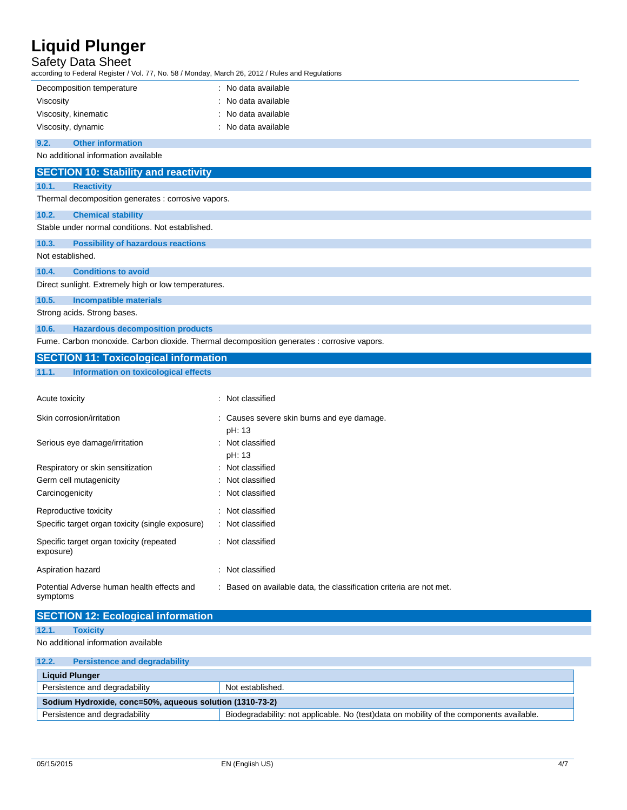## Safety Data Sheet

| ccording to Federal Register / Vol. 77, No. 58 / Monday, March 26, 2012 / Rules and Regulations |                                                                     |
|-------------------------------------------------------------------------------------------------|---------------------------------------------------------------------|
| Decomposition temperature                                                                       | : No data available                                                 |
| Viscosity                                                                                       | No data available                                                   |
| Viscosity, kinematic                                                                            | No data available                                                   |
| Viscosity, dynamic                                                                              | : No data available                                                 |
| <b>Other information</b><br>9.2.                                                                |                                                                     |
| No additional information available                                                             |                                                                     |
| <b>SECTION 10: Stability and reactivity</b>                                                     |                                                                     |
| <b>Reactivity</b><br>10.1.                                                                      |                                                                     |
| Thermal decomposition generates : corrosive vapors.                                             |                                                                     |
| 10.2.<br><b>Chemical stability</b>                                                              |                                                                     |
| Stable under normal conditions. Not established.                                                |                                                                     |
| 10.3.<br><b>Possibility of hazardous reactions</b>                                              |                                                                     |
| Not established.                                                                                |                                                                     |
| <b>Conditions to avoid</b><br>10.4.                                                             |                                                                     |
| Direct sunlight. Extremely high or low temperatures.                                            |                                                                     |
| 10.5.<br><b>Incompatible materials</b>                                                          |                                                                     |
| Strong acids. Strong bases.                                                                     |                                                                     |
| <b>Hazardous decomposition products</b><br>10.6.                                                |                                                                     |
| Fume. Carbon monoxide. Carbon dioxide. Thermal decomposition generates : corrosive vapors.      |                                                                     |
| <b>SECTION 11: Toxicological information</b>                                                    |                                                                     |
| 11.1.<br><b>Information on toxicological effects</b>                                            |                                                                     |
|                                                                                                 |                                                                     |
| Acute toxicity                                                                                  | : Not classified                                                    |
|                                                                                                 |                                                                     |
| Skin corrosion/irritation                                                                       | : Causes severe skin burns and eye damage.                          |
|                                                                                                 | pH: 13                                                              |
| Serious eye damage/irritation                                                                   | : Not classified                                                    |
|                                                                                                 | pH: 13                                                              |
| Respiratory or skin sensitization                                                               | Not classified                                                      |
| Germ cell mutagenicity                                                                          | Not classified                                                      |
| Carcinogenicity                                                                                 | Not classified                                                      |
| Reproductive toxicity                                                                           | : Not classified                                                    |
| Specific target organ toxicity (single exposure)                                                | : Not classified                                                    |
| Specific target organ toxicity (repeated<br>exposure)                                           | : Not classified                                                    |
| Aspiration hazard                                                                               | : Not classified                                                    |
| Potential Adverse human health effects and<br>symptoms                                          | : Based on available data, the classification criteria are not met. |
| <b>SECTION 12: Ecological information</b>                                                       |                                                                     |

No additional information available

| 12.2.                                                    | <b>Persistence and degradability</b>                                                                                      |  |
|----------------------------------------------------------|---------------------------------------------------------------------------------------------------------------------------|--|
| <b>Liquid Plunger</b>                                    |                                                                                                                           |  |
| Persistence and degradability<br>Not established.        |                                                                                                                           |  |
| Sodium Hydroxide, conc=50%, aqueous solution (1310-73-2) |                                                                                                                           |  |
|                                                          | Persistence and degradability<br>Biodegradability: not applicable. No (test)data on mobility of the components available. |  |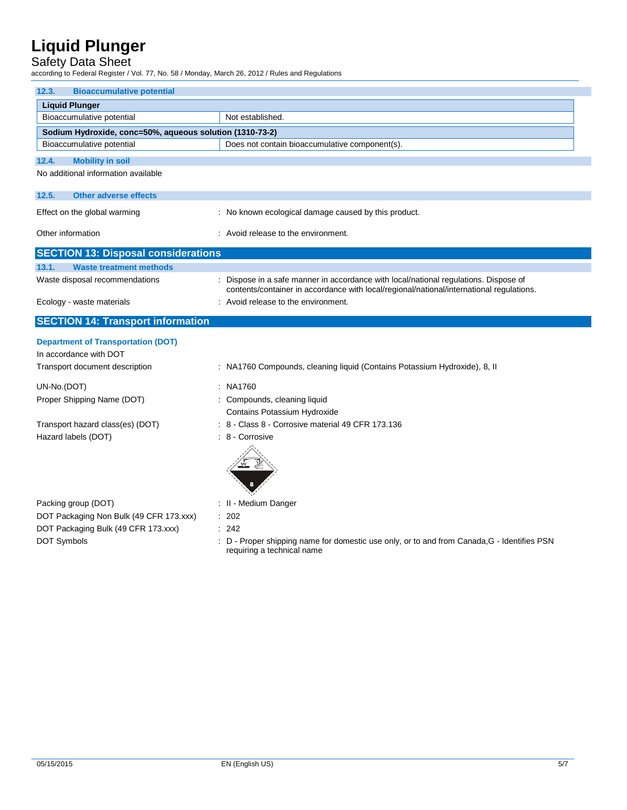## Safety Data Sheet

according to Federal Register / Vol. 77, No. 58 / Monday, March 26, 2012 / Rules and Regulations

| <b>Bioaccumulative potential</b><br>12.3.                           |                                                                                                                                                                                |  |
|---------------------------------------------------------------------|--------------------------------------------------------------------------------------------------------------------------------------------------------------------------------|--|
| <b>Liquid Plunger</b>                                               |                                                                                                                                                                                |  |
| Bioaccumulative potential                                           | Not established.                                                                                                                                                               |  |
| Sodium Hydroxide, conc=50%, aqueous solution (1310-73-2)            |                                                                                                                                                                                |  |
| Bioaccumulative potential                                           | Does not contain bioaccumulative component(s).                                                                                                                                 |  |
| <b>Mobility in soil</b><br>12.4.                                    |                                                                                                                                                                                |  |
| No additional information available                                 |                                                                                                                                                                                |  |
| <b>Other adverse effects</b><br>12.5.                               |                                                                                                                                                                                |  |
| Effect on the global warming                                        | : No known ecological damage caused by this product.                                                                                                                           |  |
| Other information                                                   | : Avoid release to the environment.                                                                                                                                            |  |
| <b>SECTION 13: Disposal considerations</b>                          |                                                                                                                                                                                |  |
| 13.1.<br><b>Waste treatment methods</b>                             |                                                                                                                                                                                |  |
| Waste disposal recommendations                                      | Dispose in a safe manner in accordance with local/national regulations. Dispose of<br>contents/container in accordance with local/regional/national/international regulations. |  |
| Ecology - waste materials                                           | : Avoid release to the environment.                                                                                                                                            |  |
| <b>SECTION 14: Transport information</b>                            |                                                                                                                                                                                |  |
| <b>Department of Transportation (DOT)</b><br>In accordance with DOT |                                                                                                                                                                                |  |
| Transport document description                                      | : NA1760 Compounds, cleaning liquid (Contains Potassium Hydroxide), 8, II                                                                                                      |  |
| UN-No.(DOT)                                                         | : NA1760                                                                                                                                                                       |  |
| Proper Shipping Name (DOT)                                          | : Compounds, cleaning liquid                                                                                                                                                   |  |
|                                                                     | Contains Potassium Hydroxide                                                                                                                                                   |  |
| Transport hazard class(es) (DOT)                                    | : 8 - Class 8 - Corrosive material 49 CFR 173.136                                                                                                                              |  |
| Hazard labels (DOT)                                                 | $: 8 -$ Corrosive                                                                                                                                                              |  |
| Packing group (DOT)                                                 | : II - Medium Danger                                                                                                                                                           |  |
| DOT Packaging Non Bulk (49 CFR 173.xxx)                             | : 202                                                                                                                                                                          |  |
| DOT Packaging Bulk (49 CFR 173.xxx)                                 | : 242                                                                                                                                                                          |  |
| <b>DOT Symbols</b>                                                  | : D - Proper shipping name for domestic use only, or to and from Canada, G - Identifies PSN<br>requiring a technical name                                                      |  |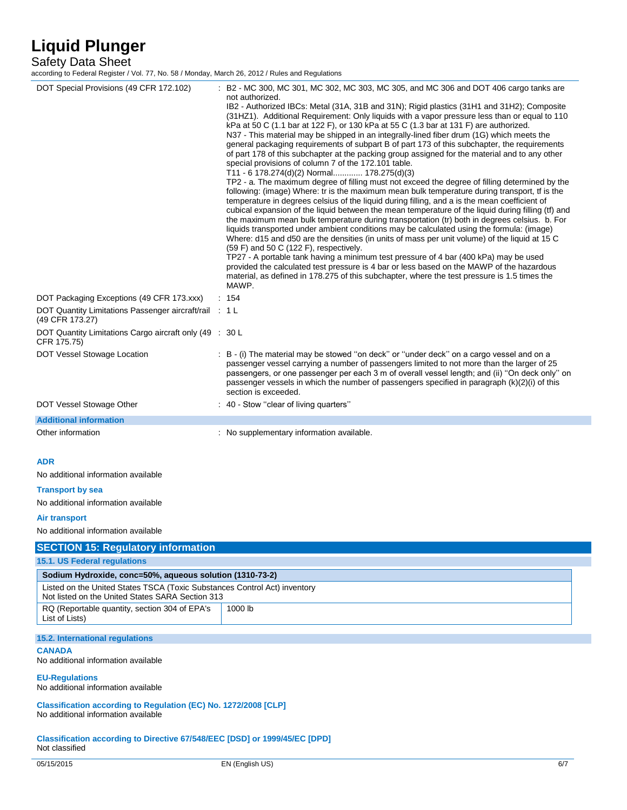## Safety Data Sheet

according to Federal Register / Vol. 77, No. 58 / Monday, March 26, 2012 / Rules and Regulations

| DOT Special Provisions (49 CFR 172.102)                                                                                                                                                                                         | B2 - MC 300, MC 301, MC 302, MC 303, MC 305, and MC 306 and DOT 406 cargo tanks are<br>not authorized.<br>IB2 - Authorized IBCs: Metal (31A, 31B and 31N); Rigid plastics (31H1 and 31H2); Composite<br>(31HZ1). Additional Requirement: Only liquids with a vapor pressure less than or equal to 110<br>kPa at 50 C (1.1 bar at 122 F), or 130 kPa at 55 C (1.3 bar at 131 F) are authorized.<br>N37 - This material may be shipped in an integrally-lined fiber drum (1G) which meets the<br>general packaging requirements of subpart B of part 173 of this subchapter, the requirements<br>of part 178 of this subchapter at the packing group assigned for the material and to any other<br>special provisions of column 7 of the 172.101 table.<br>T11 - 6 178.274(d)(2) Normal 178.275(d)(3)<br>TP2 - a. The maximum degree of filling must not exceed the degree of filling determined by the<br>following: (image) Where: tr is the maximum mean bulk temperature during transport, tf is the<br>temperature in degrees celsius of the liquid during filling, and a is the mean coefficient of<br>cubical expansion of the liquid between the mean temperature of the liquid during filling (tf) and<br>the maximum mean bulk temperature during transportation (tr) both in degrees celsius. b. For<br>liquids transported under ambient conditions may be calculated using the formula: (image)<br>Where: d15 and d50 are the densities (in units of mass per unit volume) of the liquid at 15 C<br>$(59 F)$ and 50 C $(122 F)$ , respectively.<br>TP27 - A portable tank having a minimum test pressure of 4 bar (400 kPa) may be used<br>provided the calculated test pressure is 4 bar or less based on the MAWP of the hazardous<br>material, as defined in 178.275 of this subchapter, where the test pressure is 1.5 times the<br>MAWP. |
|---------------------------------------------------------------------------------------------------------------------------------------------------------------------------------------------------------------------------------|----------------------------------------------------------------------------------------------------------------------------------------------------------------------------------------------------------------------------------------------------------------------------------------------------------------------------------------------------------------------------------------------------------------------------------------------------------------------------------------------------------------------------------------------------------------------------------------------------------------------------------------------------------------------------------------------------------------------------------------------------------------------------------------------------------------------------------------------------------------------------------------------------------------------------------------------------------------------------------------------------------------------------------------------------------------------------------------------------------------------------------------------------------------------------------------------------------------------------------------------------------------------------------------------------------------------------------------------------------------------------------------------------------------------------------------------------------------------------------------------------------------------------------------------------------------------------------------------------------------------------------------------------------------------------------------------------------------------------------------------------------------------------------------------------------------------------------------------------------|
| DOT Packaging Exceptions (49 CFR 173.xxx)<br>DOT Quantity Limitations Passenger aircraft/rail : 1 L                                                                                                                             | : 154                                                                                                                                                                                                                                                                                                                                                                                                                                                                                                                                                                                                                                                                                                                                                                                                                                                                                                                                                                                                                                                                                                                                                                                                                                                                                                                                                                                                                                                                                                                                                                                                                                                                                                                                                                                                                                                    |
| (49 CFR 173.27)                                                                                                                                                                                                                 |                                                                                                                                                                                                                                                                                                                                                                                                                                                                                                                                                                                                                                                                                                                                                                                                                                                                                                                                                                                                                                                                                                                                                                                                                                                                                                                                                                                                                                                                                                                                                                                                                                                                                                                                                                                                                                                          |
| DOT Quantity Limitations Cargo aircraft only (49 : 30 L<br>CFR 175.75)                                                                                                                                                          |                                                                                                                                                                                                                                                                                                                                                                                                                                                                                                                                                                                                                                                                                                                                                                                                                                                                                                                                                                                                                                                                                                                                                                                                                                                                                                                                                                                                                                                                                                                                                                                                                                                                                                                                                                                                                                                          |
| DOT Vessel Stowage Location                                                                                                                                                                                                     | : B - (i) The material may be stowed "on deck" or "under deck" on a cargo vessel and on a<br>passenger vessel carrying a number of passengers limited to not more than the larger of 25<br>passengers, or one passenger per each 3 m of overall vessel length; and (ii) "On deck only" on<br>passenger vessels in which the number of passengers specified in paragraph $(k)(2)(i)$ of this<br>section is exceeded.                                                                                                                                                                                                                                                                                                                                                                                                                                                                                                                                                                                                                                                                                                                                                                                                                                                                                                                                                                                                                                                                                                                                                                                                                                                                                                                                                                                                                                      |
| DOT Vessel Stowage Other                                                                                                                                                                                                        | : 40 - Stow "clear of living quarters"                                                                                                                                                                                                                                                                                                                                                                                                                                                                                                                                                                                                                                                                                                                                                                                                                                                                                                                                                                                                                                                                                                                                                                                                                                                                                                                                                                                                                                                                                                                                                                                                                                                                                                                                                                                                                   |
| <b>Additional information</b>                                                                                                                                                                                                   |                                                                                                                                                                                                                                                                                                                                                                                                                                                                                                                                                                                                                                                                                                                                                                                                                                                                                                                                                                                                                                                                                                                                                                                                                                                                                                                                                                                                                                                                                                                                                                                                                                                                                                                                                                                                                                                          |
| Other information                                                                                                                                                                                                               | : No supplementary information available.                                                                                                                                                                                                                                                                                                                                                                                                                                                                                                                                                                                                                                                                                                                                                                                                                                                                                                                                                                                                                                                                                                                                                                                                                                                                                                                                                                                                                                                                                                                                                                                                                                                                                                                                                                                                                |
| <b>ADR</b><br>No additional information available<br><b>Transport by sea</b><br>No additional information available<br><b>Air transport</b><br>No additional information available<br><b>SECTION 15: Regulatory information</b> |                                                                                                                                                                                                                                                                                                                                                                                                                                                                                                                                                                                                                                                                                                                                                                                                                                                                                                                                                                                                                                                                                                                                                                                                                                                                                                                                                                                                                                                                                                                                                                                                                                                                                                                                                                                                                                                          |
| 15.1. US Federal regulations                                                                                                                                                                                                    |                                                                                                                                                                                                                                                                                                                                                                                                                                                                                                                                                                                                                                                                                                                                                                                                                                                                                                                                                                                                                                                                                                                                                                                                                                                                                                                                                                                                                                                                                                                                                                                                                                                                                                                                                                                                                                                          |
| Sodium Hydroxide, conc=50%, aqueous solution (1310-73-2)                                                                                                                                                                        |                                                                                                                                                                                                                                                                                                                                                                                                                                                                                                                                                                                                                                                                                                                                                                                                                                                                                                                                                                                                                                                                                                                                                                                                                                                                                                                                                                                                                                                                                                                                                                                                                                                                                                                                                                                                                                                          |
| Listed on the United States TSCA (Toxic Substances Control Act) inventory<br>Not listed on the United States SARA Section 313                                                                                                   |                                                                                                                                                                                                                                                                                                                                                                                                                                                                                                                                                                                                                                                                                                                                                                                                                                                                                                                                                                                                                                                                                                                                                                                                                                                                                                                                                                                                                                                                                                                                                                                                                                                                                                                                                                                                                                                          |
| RQ (Reportable quantity, section 304 of EPA's<br>List of Lists)                                                                                                                                                                 | 1000 lb                                                                                                                                                                                                                                                                                                                                                                                                                                                                                                                                                                                                                                                                                                                                                                                                                                                                                                                                                                                                                                                                                                                                                                                                                                                                                                                                                                                                                                                                                                                                                                                                                                                                                                                                                                                                                                                  |
| 15.2. International regulations                                                                                                                                                                                                 |                                                                                                                                                                                                                                                                                                                                                                                                                                                                                                                                                                                                                                                                                                                                                                                                                                                                                                                                                                                                                                                                                                                                                                                                                                                                                                                                                                                                                                                                                                                                                                                                                                                                                                                                                                                                                                                          |
| <b>CANADA</b><br>No additional information available                                                                                                                                                                            |                                                                                                                                                                                                                                                                                                                                                                                                                                                                                                                                                                                                                                                                                                                                                                                                                                                                                                                                                                                                                                                                                                                                                                                                                                                                                                                                                                                                                                                                                                                                                                                                                                                                                                                                                                                                                                                          |
| <b>EU-Regulations</b><br>No additional information available                                                                                                                                                                    |                                                                                                                                                                                                                                                                                                                                                                                                                                                                                                                                                                                                                                                                                                                                                                                                                                                                                                                                                                                                                                                                                                                                                                                                                                                                                                                                                                                                                                                                                                                                                                                                                                                                                                                                                                                                                                                          |
| Classification according to Regulation (EC) No. 1272/2008 [CLP]<br>No additional information available                                                                                                                          |                                                                                                                                                                                                                                                                                                                                                                                                                                                                                                                                                                                                                                                                                                                                                                                                                                                                                                                                                                                                                                                                                                                                                                                                                                                                                                                                                                                                                                                                                                                                                                                                                                                                                                                                                                                                                                                          |
| Classification according to Directive 67/548/EEC [DSD] or 1999/45/EC [DPD]<br>Not classified                                                                                                                                    |                                                                                                                                                                                                                                                                                                                                                                                                                                                                                                                                                                                                                                                                                                                                                                                                                                                                                                                                                                                                                                                                                                                                                                                                                                                                                                                                                                                                                                                                                                                                                                                                                                                                                                                                                                                                                                                          |